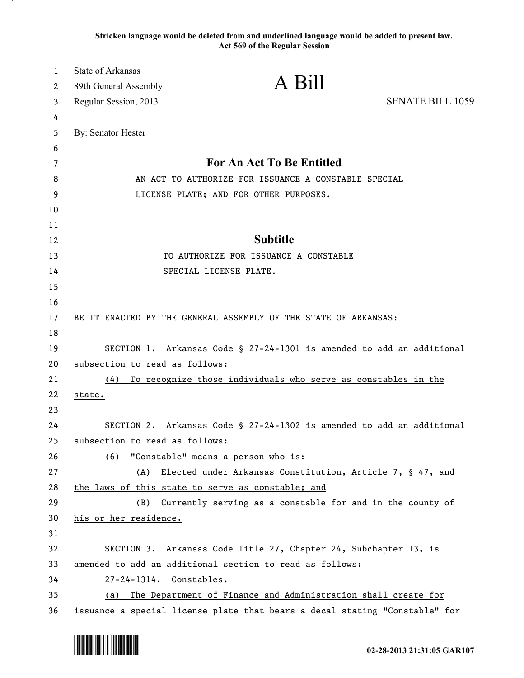**Stricken language would be deleted from and underlined language would be added to present law. Act 569 of the Regular Session**

| $\mathbf{1}$ | <b>State of Arkansas</b>       |                                                                                                                              |                         |
|--------------|--------------------------------|------------------------------------------------------------------------------------------------------------------------------|-------------------------|
| 2            | 89th General Assembly          | A Bill                                                                                                                       |                         |
| 3            | Regular Session, 2013          |                                                                                                                              | <b>SENATE BILL 1059</b> |
| 4            |                                |                                                                                                                              |                         |
| 5            | By: Senator Hester             |                                                                                                                              |                         |
| 6            |                                |                                                                                                                              |                         |
| 7            |                                | <b>For An Act To Be Entitled</b>                                                                                             |                         |
| 8            |                                | AN ACT TO AUTHORIZE FOR ISSUANCE A CONSTABLE SPECIAL                                                                         |                         |
| 9            |                                | LICENSE PLATE; AND FOR OTHER PURPOSES.                                                                                       |                         |
| 10           |                                |                                                                                                                              |                         |
| 11           |                                |                                                                                                                              |                         |
| 12           |                                | <b>Subtitle</b>                                                                                                              |                         |
| 13           |                                | TO AUTHORIZE FOR ISSUANCE A CONSTABLE                                                                                        |                         |
| 14           |                                | SPECIAL LICENSE PLATE.                                                                                                       |                         |
| 15           |                                |                                                                                                                              |                         |
| 16           |                                |                                                                                                                              |                         |
| 17           |                                | BE IT ENACTED BY THE GENERAL ASSEMBLY OF THE STATE OF ARKANSAS:                                                              |                         |
| 18           |                                |                                                                                                                              |                         |
| 19           |                                | SECTION 1. Arkansas Code § 27-24-1301 is amended to add an additional                                                        |                         |
| 20           | subsection to read as follows: |                                                                                                                              |                         |
| 21           | (4)                            | To recognize those individuals who serve as constables in the                                                                |                         |
| 22           | state.                         |                                                                                                                              |                         |
| 23           |                                |                                                                                                                              |                         |
| 24           |                                | SECTION 2. Arkansas Code § 27-24-1302 is amended to add an additional                                                        |                         |
| 25           | subsection to read as follows: |                                                                                                                              |                         |
| 26           | (6)                            | "Constable" means a person who is:                                                                                           |                         |
| 27           | (A)                            | Elected under Arkansas Constitution, Article 7, § 47, and                                                                    |                         |
| 28           |                                | the laws of this state to serve as constable; and                                                                            |                         |
| 29           | (B)                            | Currently serving as a constable for and in the county of                                                                    |                         |
| 30           | his or her residence.          |                                                                                                                              |                         |
| 31           |                                |                                                                                                                              |                         |
| 32<br>33     |                                | SECTION 3. Arkansas Code Title 27, Chapter 24, Subchapter 13, is<br>amended to add an additional section to read as follows: |                         |
| 34           | 27-24-1314. Constables.        |                                                                                                                              |                         |
| 35           | (a)                            | The Department of Finance and Administration shall create for                                                                |                         |
| 36           |                                | issuance a special license plate that bears a decal stating "Constable" for                                                  |                         |

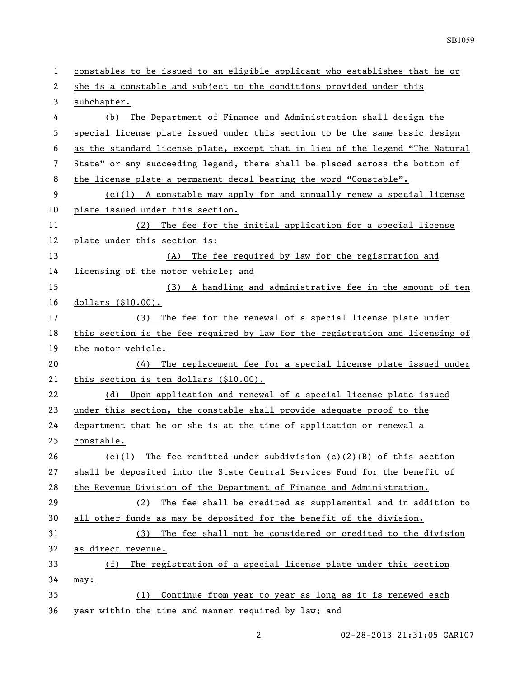| 1  | constables to be issued to an eligible applicant who establishes that he or   |  |  |
|----|-------------------------------------------------------------------------------|--|--|
| 2  | she is a constable and subject to the conditions provided under this          |  |  |
| 3  | subchapter.                                                                   |  |  |
| 4  | The Department of Finance and Administration shall design the<br>(b)          |  |  |
| 5  | special license plate issued under this section to be the same basic design   |  |  |
| 6  | as the standard license plate, except that in lieu of the legend "The Natural |  |  |
| 7  | State" or any succeeding legend, there shall be placed across the bottom of   |  |  |
| 8  | the license plate a permanent decal bearing the word "Constable".             |  |  |
| 9  | $(c)(1)$ A constable may apply for and annually renew a special license       |  |  |
| 10 | plate issued under this section.                                              |  |  |
| 11 | The fee for the initial application for a special license<br>(2)              |  |  |
| 12 | plate under this section is:                                                  |  |  |
| 13 | (A) The fee required by law for the registration and                          |  |  |
| 14 | licensing of the motor vehicle; and                                           |  |  |
| 15 | (B) A handling and administrative fee in the amount of ten                    |  |  |
| 16 | dollars (\$10.00).                                                            |  |  |
| 17 | The fee for the renewal of a special license plate under<br>(3)               |  |  |
| 18 | this section is the fee required by law for the registration and licensing of |  |  |
| 19 | the motor vehicle.                                                            |  |  |
| 20 | The replacement fee for a special license plate issued under<br>(4)           |  |  |
| 21 | this section is ten dollars (\$10.00).                                        |  |  |
| 22 | Upon application and renewal of a special license plate issued<br>(d)         |  |  |
| 23 | under this section, the constable shall provide adequate proof to the         |  |  |
| 24 | department that he or she is at the time of application or renewal a          |  |  |
| 25 | constable.                                                                    |  |  |
| 26 | The fee remitted under subdivision $(c)(2)(B)$ of this section<br>(e)(1)      |  |  |
| 27 | shall be deposited into the State Central Services Fund for the benefit of    |  |  |
| 28 | the Revenue Division of the Department of Finance and Administration.         |  |  |
| 29 | The fee shall be credited as supplemental and in addition to<br>(2)           |  |  |
| 30 | all other funds as may be deposited for the benefit of the division.          |  |  |
| 31 | The fee shall not be considered or credited to the division<br>(3)            |  |  |
| 32 | as direct revenue.                                                            |  |  |
| 33 | The registration of a special license plate under this section<br>(f)         |  |  |
| 34 | may:                                                                          |  |  |
| 35 | Continue from year to year as long as it is renewed each<br>(1)               |  |  |
| 36 | year within the time and manner required by law; and                          |  |  |